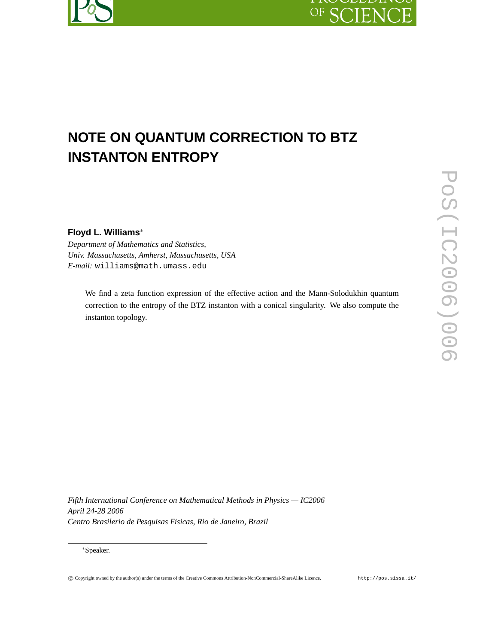## OF SC EN

# **NOTE ON QUANTUM CORRECTION TO BTZ INSTANTON ENTROPY**

**Floyd L. Williams**∗

*Department of Mathematics and Statistics, Univ. Massachusetts, Amherst, Massachusetts, USA E-mail:* williams@math.umass.edu

We find a zeta function expression of the effective action and the Mann-Solodukhin quantum correction to the entropy of the BTZ instanton with a conical singularity. We also compute the instanton topology.

*Fifth International Conference on Mathematical Methods in Physics — IC2006 April 24-28 2006 Centro Brasilerio de Pesquisas Fisicas, Rio de Janeiro, Brazil*

∗Speaker.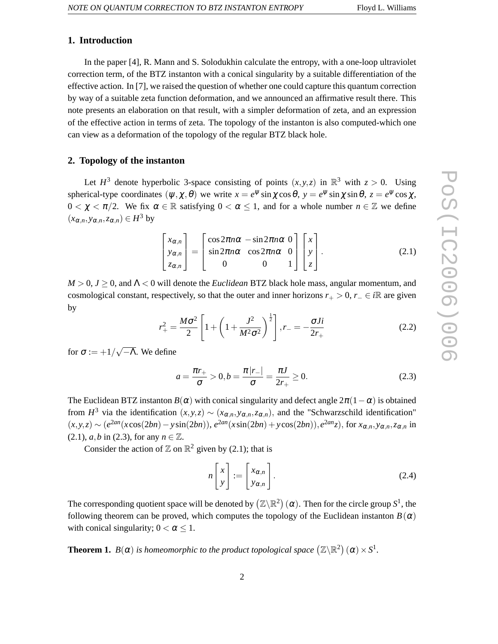#### **1. Introduction**

In the paper [4], R. Mann and S. Solodukhin calculate the entropy, with a one-loop ultraviolet correction term, of the BTZ instanton with a conical singularity by a suitable differentiation of the effective action. In [7], we raised the question of whether one could capture this quantum correction by way of a suitable zeta function deformation, and we announced an affirmative result there. This note presents an elaboration on that result, with a simpler deformation of zeta, and an expression of the effective action in terms of zeta. The topology of the instanton is also computed-which one can view as a deformation of the topology of the regular BTZ black hole.

#### **2. Topology of the instanton**

Let  $H^3$  denote hyperbolic 3-space consisting of points  $(x, y, z)$  in  $\mathbb{R}^3$  with  $z > 0$ . Using spherical-type coordinates  $(\psi, \chi, \theta)$  we write  $x = e^{\psi} \sin \chi \cos \theta$ ,  $y = e^{\psi} \sin \chi \sin \theta$ ,  $z = e^{\psi} \cos \chi$ ,  $0 < \chi < \pi/2$ . We fix  $\alpha \in \mathbb{R}$  satisfying  $0 < \alpha \leq 1$ , and for a whole number  $n \in \mathbb{Z}$  we define  $(x_{\alpha,n}, y_{\alpha,n}, z_{\alpha,n}) \in H^3$  by

$$
\begin{bmatrix} x_{\alpha,n} \\ y_{\alpha,n} \\ z_{\alpha,n} \end{bmatrix} = \begin{bmatrix} \cos 2\pi n\alpha & -\sin 2\pi n\alpha & 0 \\ \sin 2\pi n\alpha & \cos 2\pi n\alpha & 0 \\ 0 & 0 & 1 \end{bmatrix} \begin{bmatrix} x \\ y \\ z \end{bmatrix}.
$$
 (2.1)

*M* > 0, *J* ≥ 0, and Λ < 0 will denote the *Euclidean* BTZ black hole mass, angular momentum, and cosmological constant, respectively, so that the outer and inner horizons  $r_{+} > 0$ ,  $r_{-} \in i\mathbb{R}$  are given by

$$
r_{+}^{2} = \frac{M\sigma^{2}}{2} \left[ 1 + \left( 1 + \frac{J^{2}}{M^{2}\sigma^{2}} \right)^{\frac{1}{2}} \right], r_{-} = -\frac{\sigma J i}{2r_{+}}
$$
(2.2)

for  $\sigma := +1/\sqrt{-\Lambda}$ . We define

$$
a = \frac{\pi r_+}{\sigma} > 0, b = \frac{\pi |r_-|}{\sigma} = \frac{\pi J}{2r_+} \ge 0.
$$
 (2.3)

The Euclidean BTZ instanton  $B(\alpha)$  with conical singularity and defect angle  $2\pi(1-\alpha)$  is obtained from  $H^3$  via the identification  $(x, y, z) \sim (x_{\alpha,n}, y_{\alpha,n}, z_{\alpha,n})$ , and the "Schwarzschild identification"  $(x, y, z) \sim (e^{2an}(x\cos(2bn) - y\sin(2bn)), e^{2an}(x\sin(2bn) + y\cos(2bn)), e^{2an}z)$ , for  $x_{\alpha,n}, y_{\alpha,n}, z_{\alpha,n}$  in (2.1), *a*,*b* in (2.3), for any  $n \in \mathbb{Z}$ .

Consider the action of  $\mathbb{Z}$  on  $\mathbb{R}^2$  given by (2.1); that is

$$
n\begin{bmatrix} x \\ y \end{bmatrix} := \begin{bmatrix} x_{\alpha,n} \\ y_{\alpha,n} \end{bmatrix}.
$$
 (2.4)

The corresponding quotient space will be denoted by  $(\Z\backslash\mathbb{R}^2)$   $(\alpha)$ . Then for the circle group  $S^1$ , the following theorem can be proved, which computes the topology of the Euclidean instanton  $B(\alpha)$ with conical singularity;  $0 < \alpha \leq 1$ .

**Theorem 1.**  $B(\alpha)$  is homeomorphic to the product topological space  $(\mathbb{Z}\backslash\mathbb{R}^2)(\alpha)\times S^1$ .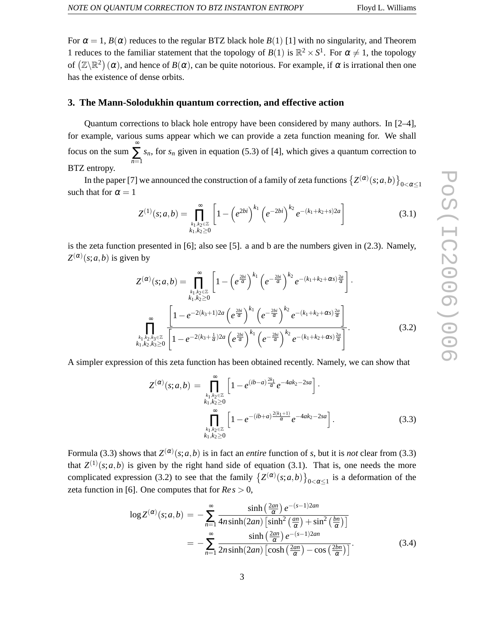For  $\alpha = 1$ ,  $B(\alpha)$  reduces to the regular BTZ black hole  $B(1)$  [1] with no singularity, and Theorem 1 reduces to the familiar statement that the topology of  $B(1)$  is  $\mathbb{R}^2 \times S^1$ . For  $\alpha \neq 1$ , the topology of  $(\mathbb{Z}\backslash\mathbb{R}^2)(\alpha)$ , and hence of  $B(\alpha)$ , can be quite notorious. For example, if  $\alpha$  is irrational then one has the existence of dense orbits.

#### **3. The Mann-Solodukhin quantum correction, and effective action**

Quantum corrections to black hole entropy have been considered by many authors. In [2–4], for example, various sums appear which we can provide a zeta function meaning for. We shall focus on the sum ∞ ∑ *n*=1 *sn*, for *s<sup>n</sup>* given in equation (5.3) of [4], which gives a quantum correction to BTZ entropy.

In the paper [7] we announced the construction of a family of zeta functions  $(Z^{(\alpha)}(s; a, b))_{0 < \alpha \leq 1}$ such that for  $\alpha = 1$ 

$$
Z^{(1)}(s;a,b) = \prod_{\substack{k_1,k_2 \in \mathbb{Z} \\ k_1,k_2 \ge 0}}^{\infty} \left[1 - \left(e^{2bi}\right)^{k_1} \left(e^{-2bi}\right)^{k_2} e^{-(k_1 + k_2 + s)2a}\right]
$$
(3.1)

is the zeta function presented in [6]; also see [5]. a and b are the numbers given in (2.3). Namely,  $Z^{(\alpha)}(s; a, b)$  is given by

$$
Z^{(\alpha)}(s;a,b) = \prod_{\substack{k_1,k_2 \in \mathbb{Z} \\ k_1,k_2 \ge 0}}^{\infty} \left[1 - \left(e^{\frac{2bi}{\alpha}}\right)^{k_1} \left(e^{-\frac{2bi}{\alpha}}\right)^{k_2} e^{-(k_1 + k_2 + \alpha s)\frac{2a}{\alpha}}\right].
$$
  

$$
\prod_{\substack{k_1,k_2,k_3 \in \mathbb{Z} \\ k_1,k_2,k_3 \ge 0}}^{\infty} \left[1 - e^{-2(k_3 + 1)2a} \left(e^{\frac{2bi}{\alpha}}\right)^{k_1} \left(e^{-\frac{2bi}{\alpha}}\right)^{k_2} e^{-(k_1 + k_2 + \alpha s)\frac{2a}{\alpha}}\right].
$$
  

$$
\prod_{k_1,k_2,k_3 \le 0}^{\infty} \left[1 - e^{-2(k_3 + \frac{1}{\alpha})2a} \left(e^{\frac{2bi}{\alpha}}\right)^{k_1} \left(e^{-\frac{2bi}{\alpha}}\right)^{k_2} e^{-(k_1 + k_2 + \alpha s)\frac{2a}{\alpha}}\right].
$$
 (3.2)

A simpler expression of this zeta function has been obtained recently. Namely, we can show that

$$
Z^{(\alpha)}(s;a,b) = \prod_{\substack{k_1,k_2 \in \mathbb{Z} \\ k_1,k_2 \ge 0 \\ k_1, k_2 \ge 0}}^{\infty} \left[1 - e^{(ib-a)\frac{2k_1}{\alpha}} e^{-4ak_2 - 2sa}\right].
$$
  

$$
\prod_{\substack{k_1,k_2 \in \mathbb{Z} \\ k_1, k_2 \ge 0}}^{\infty} \left[1 - e^{-(ib+a)\frac{2(k_1+1)}{\alpha}} e^{-4ak_2 - 2sa}\right].
$$
 (3.3)

Formula (3.3) shows that  $Z^{(\alpha)}(s; a, b)$  is in fact an *entire* function of *s*, but it is *not* clear from (3.3) that  $Z^{(1)}(s; a, b)$  is given by the right hand side of equation (3.1). That is, one needs the more complicated expression (3.2) to see that the family  $\left\{Z^{(\alpha)}(s; a, b)\right\}_{0 < \alpha \leq 1}$  is a deformation of the zeta function in [6]. One computes that for  $Res > 0$ ,

$$
\log Z^{(\alpha)}(s;a,b) = -\sum_{n=1}^{\infty} \frac{\sinh\left(\frac{2an}{\alpha}\right)e^{-(s-1)2an}}{4n\sinh(2an)\left[\sinh^2\left(\frac{an}{\alpha}\right) + \sin^2\left(\frac{bn}{\alpha}\right)\right]}
$$

$$
= -\sum_{n=1}^{\infty} \frac{\sinh\left(\frac{2an}{\alpha}\right)e^{-(s-1)2an}}{2n\sinh(2an)\left[\cosh\left(\frac{2an}{\alpha}\right) - \cos\left(\frac{2bn}{\alpha}\right)\right]}.
$$
(3.4)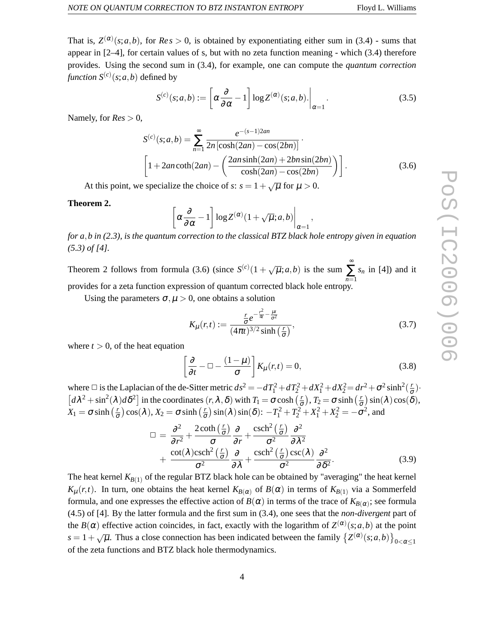That is,  $Z^{(\alpha)}(s; a, b)$ , for  $Res > 0$ , is obtained by exponentiating either sum in (3.4) - sums that appear in [2–4], for certain values of s, but with no zeta function meaning - which (3.4) therefore provides. Using the second sum in (3.4), for example, one can compute the *quantum correction function*  $S^{(c)}(s; a, b)$  defined by

$$
S^{(c)}(s;a,b) := \left[\alpha \frac{\partial}{\partial \alpha} - 1\right] \log Z^{(\alpha)}(s;a,b). \bigg|_{\alpha=1}.
$$
 (3.5)

Namely, for  $Res > 0$ ,

$$
S^{(c)}(s;a,b) = \sum_{n=1}^{\infty} \frac{e^{-(s-1)2an}}{2n [\cosh(2an) - \cos(2bn)]}.
$$
  
\n
$$
\left[1 + 2an \coth(2an) - \left(\frac{2an \sinh(2an) + 2bn \sin(2bn)}{\cosh(2an) - \cos(2bn)}\right)\right].
$$
 (3.6)

At this point, we specialize the choice of *s*:  $s = 1 + \sqrt{\mu}$  for  $\mu > 0$ .

#### **Theorem 2.**

$$
\left[\alpha \frac{\partial}{\partial \alpha} - 1\right] \log Z^{(\alpha)}(1 + \sqrt{\mu}; a, b)\right|_{\alpha = 1},
$$

*for a*,*b in (2.3), is the quantum correction to the classical BTZ black hole entropy given in equation (5.3) of [4].*

Theorem 2 follows from formula (3.6) (since  $S^{(c)}(1 + \sqrt{\mu}; a, b)$  is the sum  $\sum_{n=1}^{\infty}$  *s<sub>n</sub>* in [4]) and it *n*=1 provides for a zeta function expression of quantum corrected black hole entropy.

Using the parameters  $\sigma, \mu > 0$ , one obtains a solution

$$
K_{\mu}(r,t) := \frac{\frac{r}{\sigma}e^{-\frac{r^2}{4t} - \frac{\mu t}{\sigma^2}}}{(4\pi t)^{3/2}\sinh\left(\frac{r}{\sigma}\right)},
$$
\n(3.7)

where  $t > 0$ , of the heat equation

$$
\left[\frac{\partial}{\partial t} - \Box - \frac{(1 - \mu)}{\sigma}\right] K_{\mu}(r, t) = 0, \tag{3.8}
$$

where  $\Box$  is the Laplacian of the de-Sitter metric  $ds^2 = -dT_1^2 + dT_2^2 + dX_1^2 + dX_2^2 = dr^2 + \sigma^2 \sinh^2(\frac{r}{\sigma})$ .  $\left[d\lambda^2 + \sin^2(\lambda)d\delta^2\right]$  in the coordinates  $(r, \lambda, \delta)$  with  $T_1 = \sigma \cosh\left(\frac{r}{\sigma}\right), T_2 = \sigma \sinh\left(\frac{r}{\sigma}\right)\sin(\lambda)\cos(\delta)$ ,  $X_1 = \sigma \sinh\left(\frac{r}{\sigma}\right)\cos(\lambda), X_2 = \sigma \sinh\left(\frac{r}{\sigma}\right)\sin(\lambda)\sin(\delta)$ :  $-T_1^2 + T_2^2 + X_1^2 + X_2^2 = -\sigma^2$ , and

$$
\Box = \frac{\partial^2}{\partial r^2} + \frac{2 \coth\left(\frac{r}{\sigma}\right)}{\sigma} \frac{\partial}{\partial r} + \frac{\operatorname{csch}^2\left(\frac{r}{\sigma}\right)}{\sigma^2} \frac{\partial^2}{\partial \lambda^2} \n+ \frac{\cot(\lambda)\operatorname{csch}^2\left(\frac{r}{\sigma}\right)}{\sigma^2} \frac{\partial}{\partial \lambda} + \frac{\operatorname{csch}^2\left(\frac{r}{\sigma}\right)\operatorname{csc}(\lambda)}{\sigma^2} \frac{\partial^2}{\partial \delta^2}.
$$
\n(3.9)

The heat kernel  $K_{B(1)}$  of the regular BTZ black hole can be obtained by "averaging" the heat kernel *K*<sub>µ</sub>(*r*,*t*). In turn, one obtains the heat kernel *K*<sub>*B*( $\alpha$ )</sub> of *B*( $\alpha$ ) in terms of *K*<sub>*B*(1)</sub> via a Sommerfeld formula, and one expresses the effective action of  $B(\alpha)$  in terms of the trace of  $K_{B(\alpha)}$ ; see formula (4.5) of [4]. By the latter formula and the first sum in (3.4), one sees that the *non-divergent* part of the  $B(\alpha)$  effective action coincides, in fact, exactly with the logarithm of  $Z^{(\alpha)}(s; a, b)$  at the point  $s = 1 + \sqrt{\mu}$ . Thus a close connection has been indicated between the family  $\left\{Z^{(\alpha)}(s; a, b)\right\}_{0 < \alpha \leq 1}$ of the zeta functions and BTZ black hole thermodynamics.